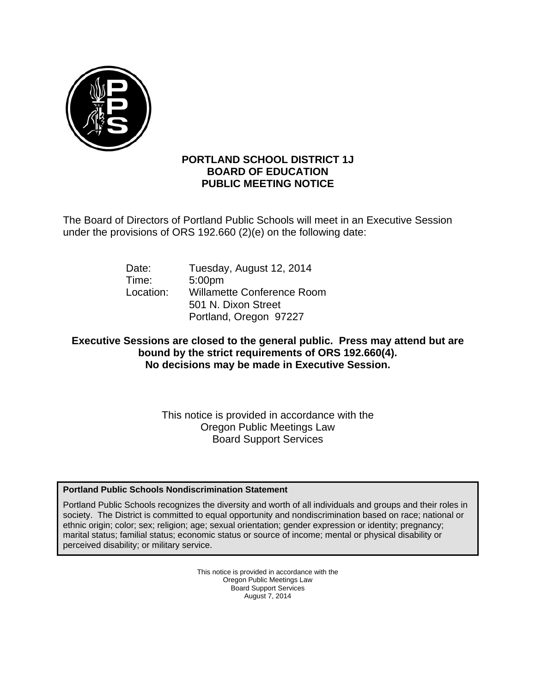

## **PORTLAND SCHOOL DISTRICT 1J BOARD OF EDUCATION PUBLIC MEETING NOTICE**

The Board of Directors of Portland Public Schools will meet in an Executive Session under the provisions of ORS 192.660 (2)(e) on the following date:

| Date:     | Tuesday, August 12, 2014          |
|-----------|-----------------------------------|
| Time:     | 5:00 <sub>pm</sub>                |
| Location: | <b>Willamette Conference Room</b> |
|           | 501 N. Dixon Street               |
|           | Portland, Oregon 97227            |

# **Executive Sessions are closed to the general public. Press may attend but are bound by the strict requirements of ORS 192.660(4). No decisions may be made in Executive Session.**

This notice is provided in accordance with the Oregon Public Meetings Law Board Support Services

## **Portland Public Schools Nondiscrimination Statement**

Portland Public Schools recognizes the diversity and worth of all individuals and groups and their roles in society. The District is committed to equal opportunity and nondiscrimination based on race; national or ethnic origin; color; sex; religion; age; sexual orientation; gender expression or identity; pregnancy; marital status; familial status; economic status or source of income; mental or physical disability or perceived disability; or military service.

> This notice is provided in accordance with the Oregon Public Meetings Law Board Support Services August 7, 2014